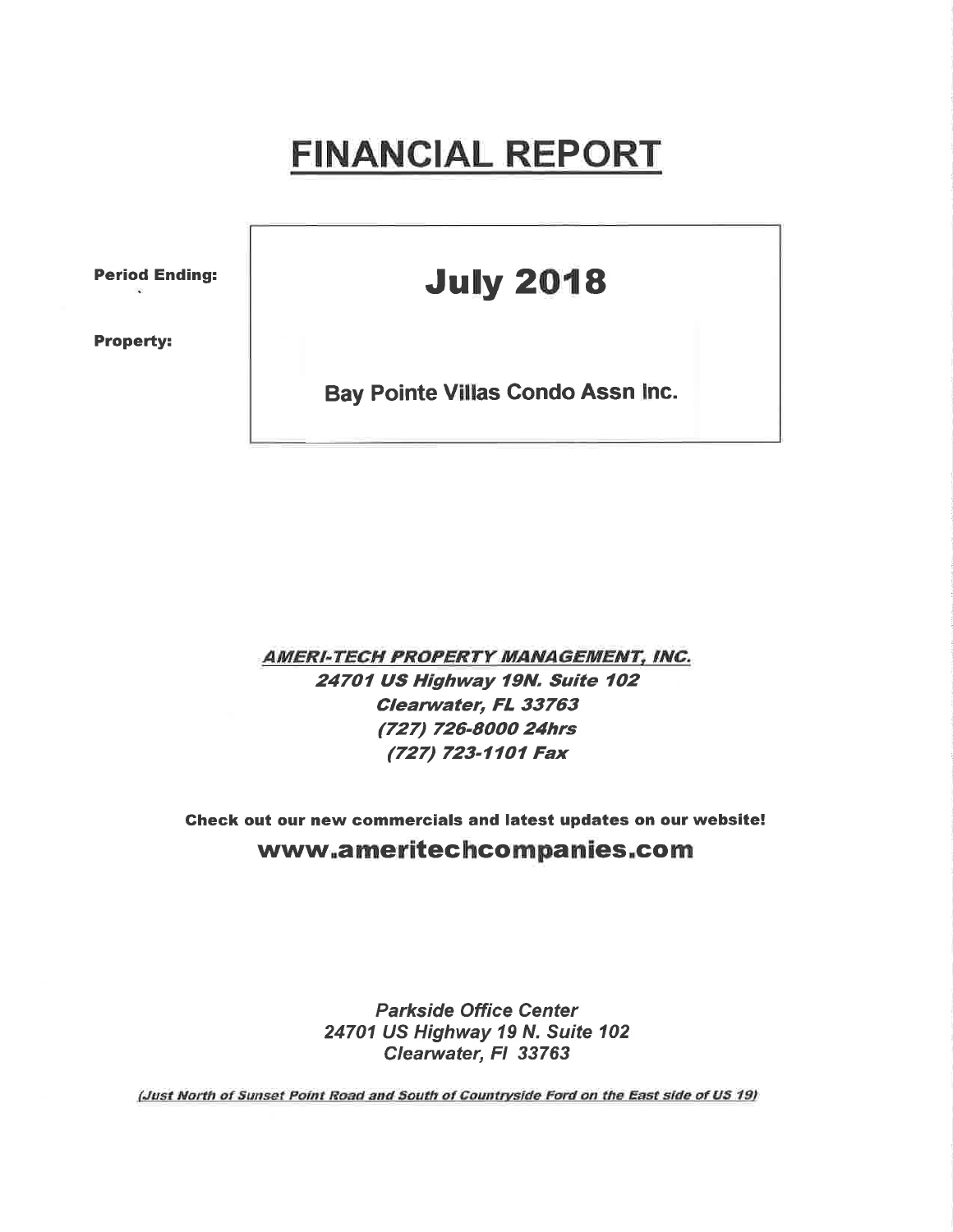## FINANCIAL REPORT

Period Ending:

Property:

## **July 2018**

Bay Pointe Villas Condo Assn lnc.

**AMERI-TECH PROPERTY MANAGEMENT, INC.** 24701 US Highway 19N. Suite 102 Clearwater, FL 33763 (727) 726-8000 24hrs (727) 723-1101 Fax

Check out our new commercials and latest updates on our website! www.ameritechcompanies.com

> Parkside Office Center 24701 US Highway 19 N. Suite 102 Clearwater, FI 33763

(Just North of Sunset Point Road and South of Countryside Ford on the East side of US 19)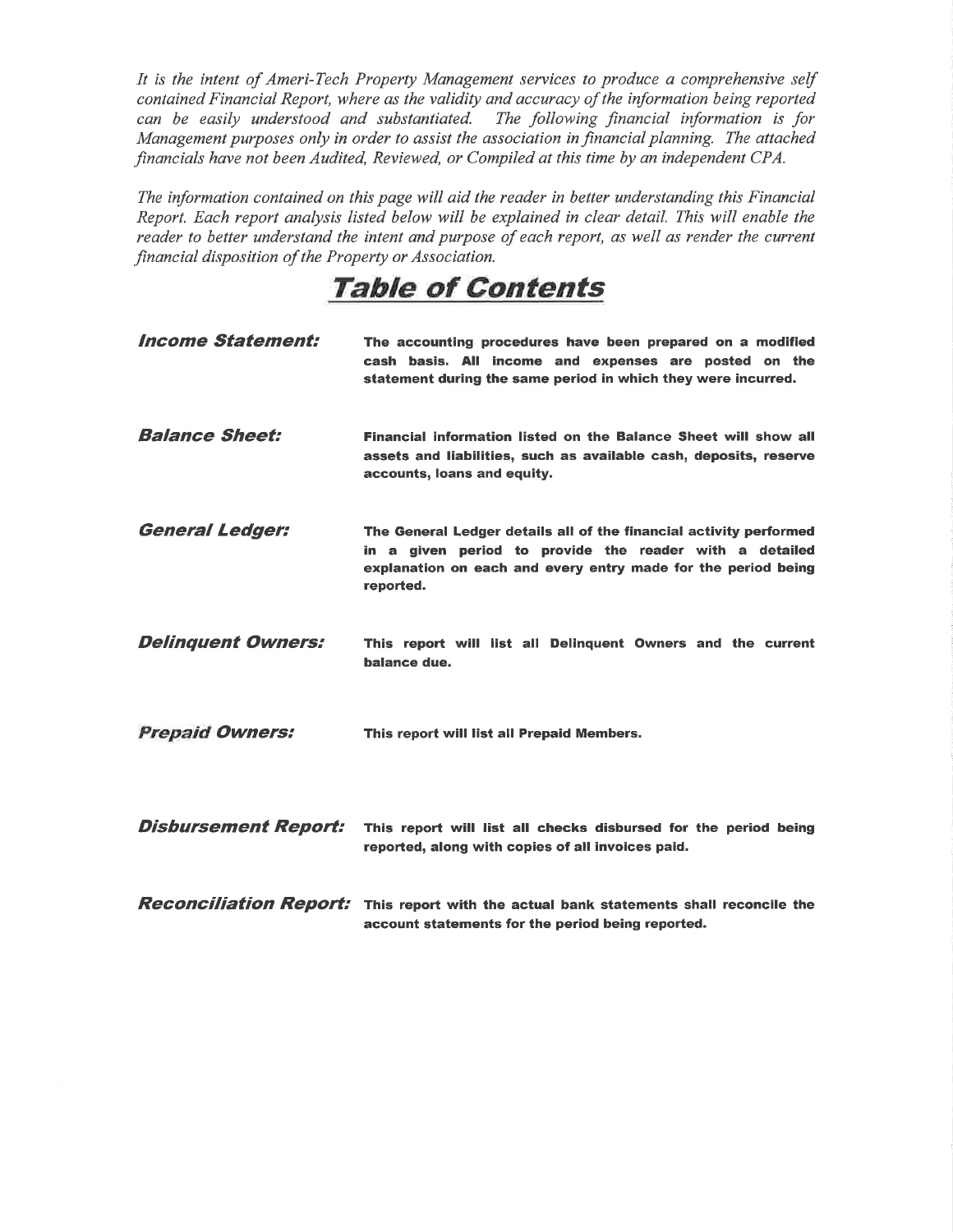It is the intent of Ameri-Tech Property Management services to produce a comprehensive self contained Financial Report, where as the validity and accuracy of the information being reported can be easily understood and substantiated. The following financial information is for Management purposes only in order to assist the association in financial planning. The attached financials have not been Audited, Reviewed, or Compiled at this time by an independent CPA.

The information contained on this page will aid the reader in better understanding this Financial Report. Each report analysis listed below will be explained in clear detail. This will enable the reader to better understand the intent and purpose of each report, as well as render the current financial disposition of the Property or Association.

TaþIe of Contents

| <i><b>Income Statement:</b></i> | The accounting procedures have been prepared on a modified<br>cash basis. All income and expenses are posted on the<br>statement during the same period in which they were incurred.                        |
|---------------------------------|-------------------------------------------------------------------------------------------------------------------------------------------------------------------------------------------------------------|
| <b>Balance Sheet:</b>           | Financial information listed on the Balance Sheet will show all<br>assets and liabilities, such as available cash, deposits, reserve<br>accounts, loans and equity.                                         |
| <b>General Ledger:</b>          | The General Ledger details all of the financial activity performed<br>in a given period to provide the reader with a detailed<br>explanation on each and every entry made for the period being<br>reported. |
| <b>Delinquent Owners:</b>       | This report will list all Delinguent Owners and the current<br>balance due.                                                                                                                                 |
| <b>Prepaid Owners:</b>          | This report will list all Prepaid Members.                                                                                                                                                                  |
| <b>Disbursement Report:</b>     | This report will list all checks disbursed for the period being<br>reported, along with copies of all invoices paid.                                                                                        |
| <b>Reconciliation Report:</b>   | This report with the actual bank statements shall reconcile the<br>account statements for the period being reported.                                                                                        |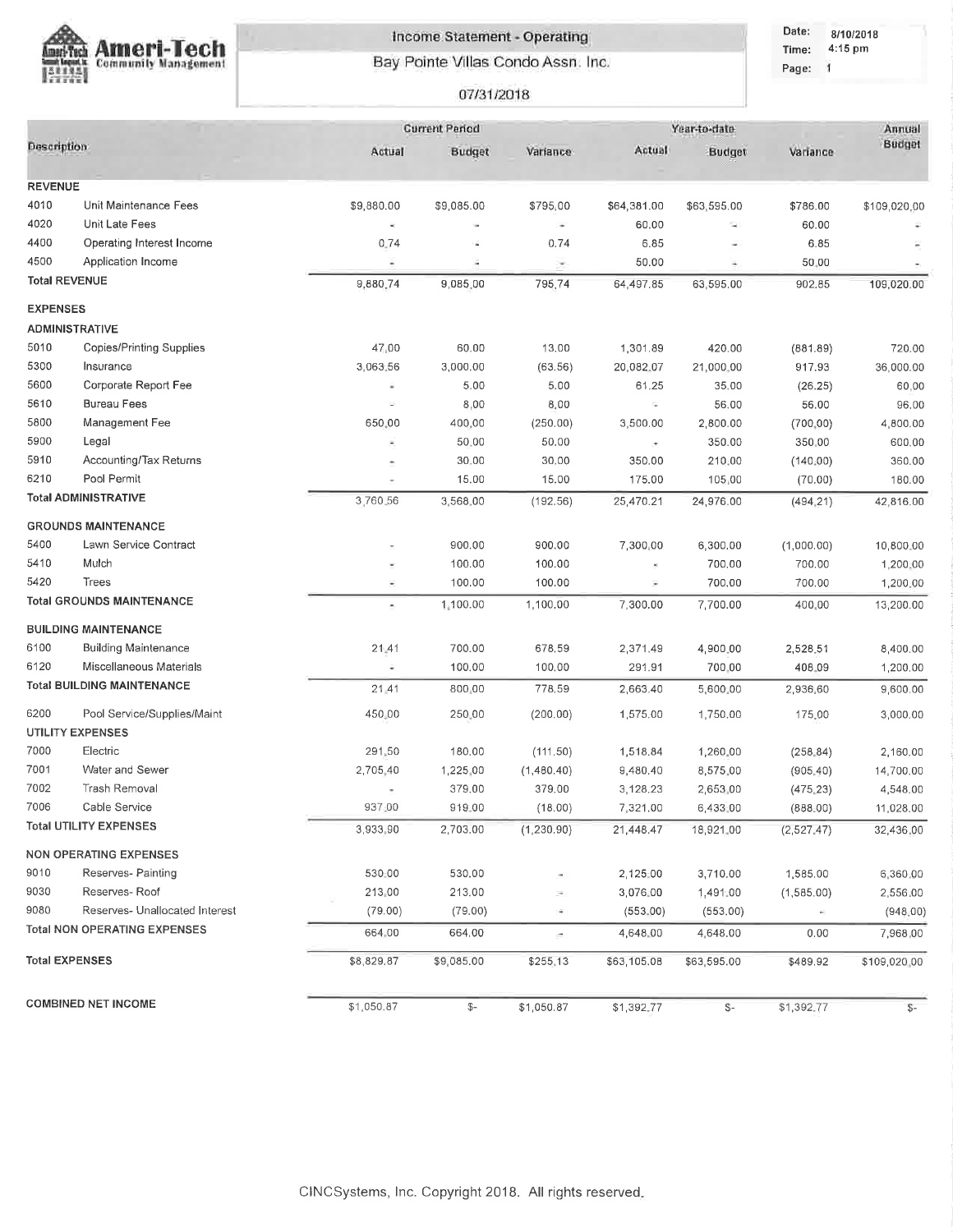

## Income Statement - Operating Bay Pointe Villas Condo Assn. Inc.

## 07/31/2018

Date: 8/10/2018 Time: 4:15 pm Page: 1

|                      |                                     | <b>Current Period</b>    |                |             | Year-to-date             |                          |            |              |  |
|----------------------|-------------------------------------|--------------------------|----------------|-------------|--------------------------|--------------------------|------------|--------------|--|
| <b>Description</b>   |                                     | Actual                   | Budget         | Variance    | Actual                   | Budget                   | Variance   | Budget       |  |
|                      |                                     |                          |                |             |                          |                          |            |              |  |
| <b>REVENUE</b>       |                                     |                          |                |             |                          |                          |            |              |  |
| 4010                 | Unit Maintenance Fees               | \$9,880.00               | \$9,085.00     | \$795,00    | \$64,381.00              | \$63,595.00              | \$786.00   | \$109,020,00 |  |
| 4020                 | Unit Late Fees                      | $\sim$                   |                | ÷           | 60.00                    | $\overline{\phantom{a}}$ | 60.00      |              |  |
| 4400                 | Operating Interest Income           | 0.74                     | á,             | 0.74        | 6.85                     | u)                       | 6.85       |              |  |
| 4500                 | Application Income                  | ٠                        | ÷              | ×           | 50.00                    | ۰                        | 50,00      |              |  |
| <b>Total REVENUE</b> |                                     | 9,880,74                 | 9,085.00       | 795,74      | 64,497.85                | 63,595.00                | 902.85     | 109,020.00   |  |
| <b>EXPENSES</b>      |                                     |                          |                |             |                          |                          |            |              |  |
|                      | <b>ADMINISTRATIVE</b>               |                          |                |             |                          |                          |            |              |  |
| 5010                 | <b>Copies/Printing Supplies</b>     | 47,00                    | 60.00          | 13.00       | 1,301.89                 | 420.00                   | (881.89)   | 720.00       |  |
| 5300                 | Insurance                           | 3,063.56                 | 3,000.00       | (63.56)     | 20,082.07                | 21,000.00                | 917.93     | 36,000.00    |  |
| 5600                 | Corporate Report Fee                |                          | 5.00           | 5.00        | 61.25                    | 35.00                    | (26.25)    | 60,00        |  |
| 5610                 | <b>Bureau Fees</b>                  | 嵩                        | 8,00           | 8,00        | G.                       | 56.00                    | 56.00      | 96.00        |  |
| 5800                 | Management Fee                      | 650.00                   | 400,00         | (250.00)    | 3,500.00                 | 2,800.00                 | (700, 00)  | 4,800.00     |  |
| 5900                 | Legal                               |                          | 50.00          | 50.00       | $\overline{\phantom{a}}$ | 350.00                   | 350,00     | 600.00       |  |
| 5910                 | Accounting/Tax Returns              |                          | 30.00          | 30.00       | 350.00                   | 210,00                   | (140, 00)  | 360.00       |  |
| 6210                 | Pool Permit                         |                          | 15.00          | 15.00       | 175.00                   | 105,00                   | (70.00)    | 180.00       |  |
|                      | <b>Total ADMINISTRATIVE</b>         | 3,760.56                 | 3,568,00       | (192.56)    | 25,470.21                | 24,976.00                | (494, 21)  | 42,816.00    |  |
|                      | <b>GROUNDS MAINTENANCE</b>          |                          |                |             |                          |                          |            |              |  |
| 5400                 | Lawn Service Contract               |                          | 900.00         | 900.00      | 7,300,00                 | 6,300.00                 | (1,000.00) | 10,800.00    |  |
| 5410                 | Mulch                               |                          | 100.00         | 100.00      |                          | 700.00                   | 700.00     | 1,200.00     |  |
| 5420                 | Trees                               | ×                        | 100.00         | 100.00      |                          | 700,00                   | 700.00     | 1,200.00     |  |
|                      | <b>Total GROUNDS MAINTENANCE</b>    | ×                        | 1,100.00       | 1,100.00    | 7,300.00                 | 7,700.00                 | 400.00     | 13,200.00    |  |
|                      |                                     |                          |                |             |                          |                          |            |              |  |
|                      | <b>BUILDING MAINTENANCE</b>         |                          |                |             |                          |                          |            |              |  |
| 6100                 | <b>Building Maintenance</b>         | 21.41                    | 700.00         | 678.59      | 2,371.49                 | 4,900.00                 | 2,528.51   | 8,400.00     |  |
| 6120                 | Miscellaneous Materials             |                          | 100.00         | 100,00      | 291.91                   | 700.00                   | 408.09     | 1,200,00     |  |
|                      | <b>Total BUILDING MAINTENANCE</b>   | 21 41                    | 800.00         | 778.59      | 2,663.40                 | 5,600.00                 | 2,936,60   | 9,600.00     |  |
| 6200                 | Pool Service/Supplies/Maint         | 450.00                   | 250,00         | (200.00)    | 1,575.00                 | 1,750.00                 | 175,00     | 3,000.00     |  |
|                      | <b>UTILITY EXPENSES</b>             |                          |                |             |                          |                          |            |              |  |
| 7000                 | Electric                            | 291.50                   | 180.00         | (111.50)    | 1,518.84                 | 1,260.00                 | (258.84)   | 2,160.00     |  |
| 7001                 | Water and Sewer                     | 2,705.40                 | 1,225,00       | (1,480,40)  | 9,480.40                 | 8,575.00                 | (905, 40)  | 14,700.00    |  |
| 7002                 | Trash Removal                       | $\overline{\phantom{a}}$ | 379.00         | 379,00      | 3,128.23                 | 2,653.00                 | (475.23)   | 4,548.00     |  |
| 7006                 | Cable Service                       | 937:00                   | 919.00         | (18.00)     | 7,321.00                 | 6,433,00                 | (888.00)   | 11,028.00    |  |
|                      | <b>Total UTILITY EXPENSES</b>       | 3,933,90                 | 2,703.00       | (1, 230.90) | 21,448.47                | 18,921.00                | (2,527,47) | 32,436.00    |  |
|                      | <b>NON OPERATING EXPENSES</b>       |                          |                |             |                          |                          |            |              |  |
| 9010                 | Reserves- Painting                  | 530:00                   | 530.00         |             | 2,125.00                 | 3,710.00                 | 1,585.00   | 6,360,00     |  |
| 9030                 | Reserves-Roof                       | 213 00                   | 213.00         |             | 3,076.00                 | 1,491.00                 | (1,585.00) | 2,556.00     |  |
| 9080                 | Reserves- Unallocated Interest      | (79.00)                  | (79.00)        | ×           | (553.00)                 | (553.00)                 | $\sim$     | (948, 00)    |  |
|                      | <b>Total NON OPERATING EXPENSES</b> | 664.00                   | 664.00         | ÷.          | 4,648.00                 | 4,648.00                 | 0.00       | 7,968,00     |  |
|                      |                                     |                          |                |             |                          |                          |            |              |  |
|                      | <b>Total EXPENSES</b>               | \$8,829.87               | \$9,085.00     | \$255.13    | \$63,105.08              | \$63,595.00              | \$489.92   | \$109,020,00 |  |
|                      | <b>COMBINED NET INCOME</b>          | \$1,050.87               | $\mathbb{S}^-$ | \$1,050.87  | \$1,392.77               | $\frac{2}{3}$            | \$1,392.77 | $S-$         |  |
|                      |                                     |                          |                |             |                          |                          |            |              |  |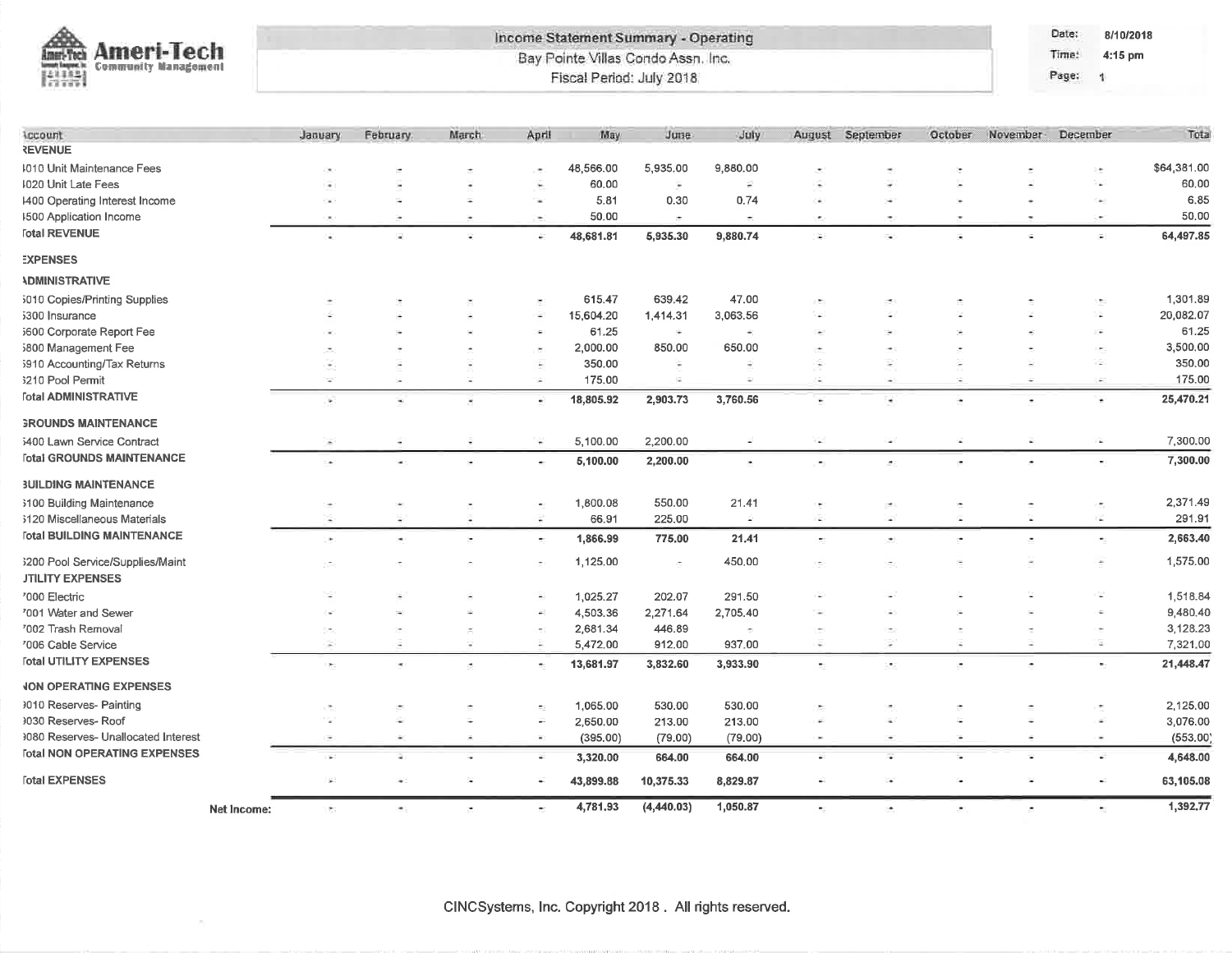|                                                                                    | Income Statement Summary - Operating |                                    |                |                |                          |                          |                     |             |                          | Date:<br>8/10/2018       |          |            |             |
|------------------------------------------------------------------------------------|--------------------------------------|------------------------------------|----------------|----------------|--------------------------|--------------------------|---------------------|-------------|--------------------------|--------------------------|----------|------------|-------------|
| <b>Ameri-Tech</b><br>meri-Tech<br><b>Community Management</b><br>enut; laquer, is: |                                      | Bay Pointe Villas Condo Assn. Inc. |                |                |                          |                          |                     |             |                          | Time:                    | 4:15 pm  |            |             |
| 開開                                                                                 |                                      |                                    |                |                | Fiscal Period: July 2018 |                          |                     |             |                          |                          |          | Page:<br>1 |             |
|                                                                                    |                                      |                                    |                |                |                          |                          |                     |             |                          |                          |          |            |             |
| Account<br><b>REVENUE</b>                                                          | January                              | <b>February</b>                    | March          | April          | May                      | June                     | July                | August      | September                | October                  | November | December   | Tota        |
| 1010 Unit Maintenance Fees                                                         |                                      |                                    |                |                | 48,566.00                | 5,935.00                 | 9,880.00            |             |                          |                          |          | ) m        | \$64,381.00 |
| 1020 Unit Late Fees                                                                |                                      |                                    |                | ×.             | 60,00                    | ۷                        | ÷                   | ÷           |                          |                          |          | ٠          | 60.00       |
| 1400 Operating Interest Income                                                     |                                      | Ξ                                  | ÷              | <b>Section</b> | 5.81                     | 0.30                     | 0.74                | ۰           |                          |                          |          | $\sim$     | 6.85        |
| <b>1500 Application Income</b>                                                     |                                      | ÷,                                 | $\sim$         | $\sim$         | 50.00                    | $\pm$                    | ÷                   | œ.          | $\overline{\phantom{a}}$ |                          |          | ×          | 50.00       |
| <b>Total REVENUE</b>                                                               | ä,                                   |                                    | ÷              | ÷              | 48,681.81                | 5,935.30                 | 9,880.74            | ×           | ×,                       | ż                        |          | i.         | 64,497.85   |
| <b>EXPENSES</b>                                                                    |                                      |                                    |                |                |                          |                          |                     |             |                          |                          |          |            |             |
| <b>ADMINISTRATIVE</b>                                                              |                                      |                                    |                |                |                          |                          |                     |             |                          |                          |          |            |             |
| 5010 Copies/Printing Supplies                                                      |                                      |                                    |                | ×              | 615.47                   | 639.42                   | 47.00               |             |                          |                          |          |            | 1,301.89    |
| 5300 Insurance                                                                     |                                      |                                    |                | ×              | 15,604.20                | 1,414.31                 | 3,063.56            |             |                          |                          |          |            | 20,082.07   |
| 5600 Corporate Report Fee                                                          |                                      |                                    |                | îФ.            | 61.25                    | ÷                        | á.                  |             |                          |                          |          | ί¥,        | 61.25       |
| 5800 Management Fee                                                                |                                      |                                    |                | ×              | 2,000.00                 | 850.00                   | 650.00              |             |                          |                          |          |            | 3,500.00    |
| 5910 Accounting/Tax Returns                                                        |                                      |                                    |                |                | 350.00                   | ٠                        | ٠                   |             | ×                        |                          |          | a.         | 350.00      |
| 3210 Pool Permit                                                                   | ×                                    | i.                                 | ×              | $\sim$         | 175.00                   | ÷,                       | ä,                  | ò.          | ۰                        |                          |          | ÷          | 175.00      |
| <b><i><u>Fotal ADMINISTRATIVE</u></i></b>                                          | ¥.                                   | $\overline{\phantom{a}}$           | ٠              | $\bullet$      | 18,805.92                | 2,903.73                 | 3,760.56            | Ξ           | ٠                        | ÷,                       | ٠        | ٠          | 25,470.21   |
| <b>GROUNDS MAINTENANCE</b>                                                         |                                      |                                    |                |                |                          |                          |                     |             |                          |                          |          |            |             |
| 5400 Lawn Service Contract                                                         | ×                                    | ٠                                  | Ξ              | w              | 5,100.00                 | 2,200.00                 | ×                   | G.          | ×                        | ÷.                       | ÷,       | z          | 7,300.00    |
| <b>Total GROUNDS MAINTENANCE</b>                                                   | ÷                                    |                                    | $\bullet$      | $\bullet$      | 5,100.00                 | 2,200.00                 | $\bar{\phantom{a}}$ | P.          | ۵                        | $\overline{\phantom{a}}$ | ۰        | ۰          | 7,300.00    |
| <b>3UILDING MAINTENANCE</b>                                                        |                                      |                                    |                |                |                          |                          |                     |             |                          |                          |          |            |             |
| 3100 Building Maintenance                                                          |                                      |                                    | ×              | $\bullet$      | 1,800.08                 | 550.00                   | 21.41               | I.          | Ø.                       | ÷.                       |          | œ,         | 2,371.49    |
| 3120 Miscellaneous Materials                                                       | ÷                                    |                                    | Ξ              | ÷              | 66.91                    | 225.00                   | ×,                  | ā           | i.                       | G.                       | ×        | œ          | 291.91      |
| <b>Total BUILDING MAINTENANCE</b>                                                  | ٠                                    | ٠                                  | $\overline{a}$ | $\bullet$      | 1,866.99                 | 775.00                   | 21.41               | $\bullet$ : | $\overline{\phantom{a}}$ | ÷                        |          | $\bullet$  | 2,663,40    |
| 3200 Pool Service/Supplies/Maint                                                   |                                      |                                    |                |                | 1,125.00                 | $\overline{\phantom{a}}$ | 450.00              |             |                          |                          |          | ۰          | 1,575.00    |
| <b>JTILITY EXPENSES</b>                                                            |                                      |                                    |                |                |                          |                          |                     |             |                          |                          |          |            |             |
| '000 Electric                                                                      |                                      |                                    |                | ÷.             | 1,025.27                 | 202.07                   | 291.50              |             |                          |                          |          | w          | 1,518.84    |
| '001 Water and Sewer                                                               |                                      |                                    |                |                | 4,503.36                 | 2,271.64                 | 2,705.40            |             |                          |                          |          | Ğ.         | 9,480.40    |
| '002 Trash Removal                                                                 |                                      |                                    |                |                | 2,681.34                 | 446.89                   | ×                   |             |                          |                          |          |            | 3,128.23    |
| '006 Cable Service                                                                 | ×                                    |                                    | ×              |                | 5,472.00                 | 912.00                   | 937.00              | ÷           | ÷                        |                          |          | α          | 7,321.00    |
| <b>Total UTILITY EXPENSES</b>                                                      | ×,                                   |                                    | ð.             | ٠              | 13,681.97                | 3,832.60                 | 3,933.90            | t.          | ×,                       | ÷                        |          |            | 21,448.47   |
| <b>JON OPERATING EXPENSES</b>                                                      |                                      |                                    |                |                |                          |                          |                     |             |                          |                          |          |            |             |
| 1010 Reserves- Painting                                                            |                                      |                                    |                |                | 1,065.00                 | 530.00                   | 530.00              |             |                          |                          |          |            | 2,125,00    |
| 1030 Reserves- Roof                                                                |                                      |                                    |                | ÷              | 2,650.00                 | 213.00                   | 213.00              |             |                          |                          |          |            | 3,076.00    |
| 1080 Reserves- Unallocated Interest                                                |                                      |                                    | ×              | $\sim$         | (395.00)                 | (79.00)                  | (79.00)             | $\sim$      |                          |                          |          | ×,         | (553.00)    |
| <b>Total NON OPERATING EXPENSES</b>                                                |                                      |                                    |                | ¥,             | 3,320.00                 | 664.00                   | 664.00              | ¥           | Φ                        |                          |          | F.         | 4,648.00    |
| <b>Total EXPENSES</b>                                                              | ίé,                                  |                                    |                |                | 43,899.88                | 10,375.33                | 8,829.87            |             |                          |                          |          |            | 63,105.08   |

 $1,392.77$ 

 $\tilde{\mathcal{Z}}$ 

 $\sim$ 

Net Income:

 $\overline{\mathcal{C}}$ 

÷.

 $\tilde{\mathcal{L}}$ 

 $(4,440.03)$ 

1,050.87

 $\sim$ 

ò.

ż.

4,781.93

 $\bullet$